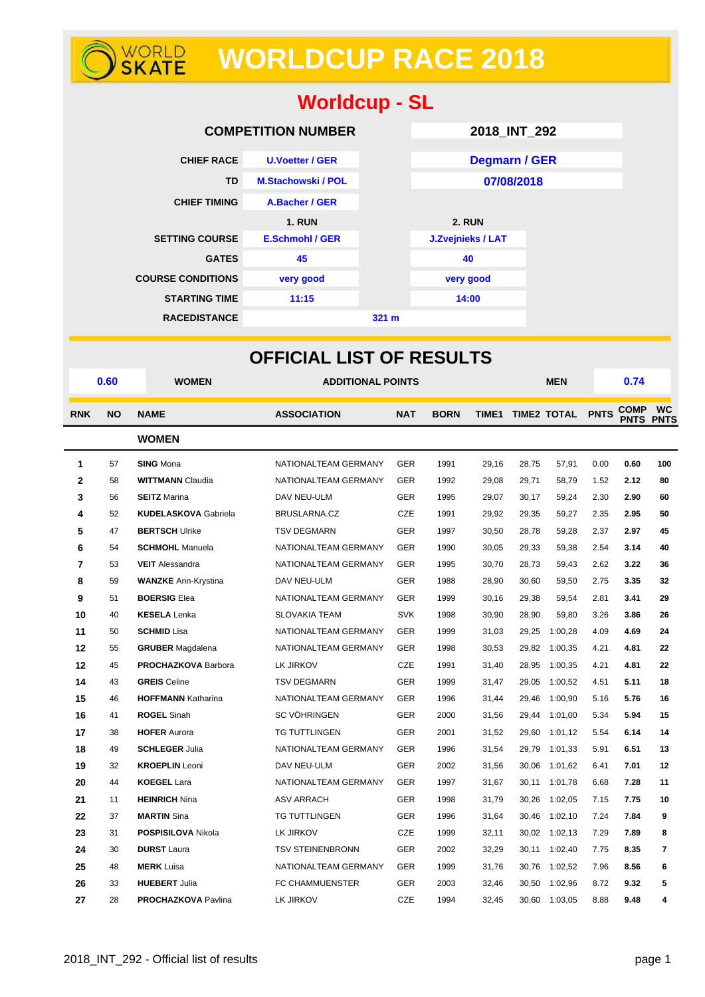# **WORLDCUP RACE 2018**

| <b>Worldcup - SL</b>     |                           |                 |                      |  |  |  |  |  |  |
|--------------------------|---------------------------|-----------------|----------------------|--|--|--|--|--|--|
|                          | <b>COMPETITION NUMBER</b> |                 | 2018_INT_292         |  |  |  |  |  |  |
| <b>CHIEF RACE</b>        | <b>U.Voetter / GER</b>    |                 | <b>Degmarn / GER</b> |  |  |  |  |  |  |
| <b>TD</b>                | <b>M.Stachowski / POL</b> |                 | 07/08/2018           |  |  |  |  |  |  |
| <b>CHIEF TIMING</b>      | A.Bacher / GER            |                 |                      |  |  |  |  |  |  |
|                          | <b>1. RUN</b>             |                 | <b>2. RUN</b>        |  |  |  |  |  |  |
| <b>SETTING COURSE</b>    | <b>E.Schmohl / GER</b>    |                 | J.Zvejnieks / LAT    |  |  |  |  |  |  |
| <b>GATES</b>             | 45                        |                 | 40                   |  |  |  |  |  |  |
| <b>COURSE CONDITIONS</b> | very good                 |                 | very good            |  |  |  |  |  |  |
| <b>STARTING TIME</b>     | 11:15                     |                 | 14:00                |  |  |  |  |  |  |
| <b>RACEDISTANCE</b>      |                           | $321 \text{ m}$ |                      |  |  |  |  |  |  |

|                | <b>OFFICIAL LIST OF RESULTS</b> |                             |                          |            |             |       |       |                        |      |                            |                          |  |
|----------------|---------------------------------|-----------------------------|--------------------------|------------|-------------|-------|-------|------------------------|------|----------------------------|--------------------------|--|
|                | 0.60                            | <b>WOMEN</b>                | <b>ADDITIONAL POINTS</b> |            |             |       |       | <b>MEN</b>             |      | 0.74                       |                          |  |
| <b>RNK</b>     | <b>NO</b>                       | <b>NAME</b>                 | <b>ASSOCIATION</b>       | <b>NAT</b> | <b>BORN</b> |       |       | TIME1 TIME2 TOTAL PNTS |      | <b>COMP</b><br><b>PNTS</b> | <b>WC</b><br><b>PNTS</b> |  |
|                |                                 | <b>WOMEN</b>                |                          |            |             |       |       |                        |      |                            |                          |  |
| 1              | 57                              | <b>SING Mona</b>            | NATIONALTEAM GERMANY     | <b>GER</b> | 1991        | 29,16 | 28,75 | 57,91                  | 0.00 | 0.60                       | 100                      |  |
| $\mathbf{2}$   | 58                              | <b>WITTMANN Claudia</b>     | NATIONALTEAM GERMANY     | <b>GER</b> | 1992        | 29,08 | 29,71 | 58,79                  | 1.52 | 2.12                       | 80                       |  |
| 3              | 56                              | <b>SEITZ Marina</b>         | DAV NEU-ULM              | <b>GER</b> | 1995        | 29,07 | 30,17 | 59,24                  | 2.30 | 2.90                       | 60                       |  |
| 4              | 52                              | <b>KUDELASKOVA Gabriela</b> | BRUSLARNA.CZ             | <b>CZE</b> | 1991        | 29,92 | 29,35 | 59,27                  | 2.35 | 2.95                       | 50                       |  |
| 5              | 47                              | <b>BERTSCH Ulrike</b>       | <b>TSV DEGMARN</b>       | <b>GER</b> | 1997        | 30,50 | 28,78 | 59,28                  | 2.37 | 2.97                       | 45                       |  |
| 6              | 54                              | <b>SCHMOHL Manuela</b>      | NATIONALTEAM GERMANY     | <b>GER</b> | 1990        | 30,05 | 29,33 | 59,38                  | 2.54 | 3.14                       | 40                       |  |
| $\overline{7}$ | 53                              | <b>VEIT</b> Alessandra      | NATIONALTEAM GERMANY     | <b>GER</b> | 1995        | 30,70 | 28,73 | 59,43                  | 2.62 | 3.22                       | 36                       |  |
| 8              | 59                              | <b>WANZKE Ann-Krystina</b>  | DAV NEU-ULM              | <b>GER</b> | 1988        | 28,90 | 30,60 | 59,50                  | 2.75 | 3.35                       | 32                       |  |
| 9              | 51                              | <b>BOERSIG Elea</b>         | NATIONALTEAM GERMANY     | <b>GER</b> | 1999        | 30,16 | 29,38 | 59,54                  | 2.81 | 3.41                       | 29                       |  |
| 10             | 40                              | <b>KESELA</b> Lenka         | <b>SLOVAKIA TEAM</b>     | <b>SVK</b> | 1998        | 30,90 | 28,90 | 59,80                  | 3.26 | 3.86                       | 26                       |  |
| 11             | 50                              | <b>SCHMID Lisa</b>          | NATIONALTEAM GERMANY     | <b>GER</b> | 1999        | 31,03 | 29,25 | 1:00,28                | 4.09 | 4.69                       | 24                       |  |
| 12             | 55                              | <b>GRUBER</b> Magdalena     | NATIONALTEAM GERMANY     | GER        | 1998        | 30,53 | 29,82 | 1:00,35                | 4.21 | 4.81                       | 22                       |  |
| 12             | 45                              | <b>PROCHAZKOVA Barbora</b>  | LK JIRKOV                | CZE        | 1991        | 31,40 | 28,95 | 1:00,35                | 4.21 | 4.81                       | 22                       |  |
| 14             | 43                              | <b>GREIS</b> Celine         | <b>TSV DEGMARN</b>       | <b>GER</b> | 1999        | 31,47 | 29,05 | 1:00,52                | 4.51 | 5.11                       | 18                       |  |
| 15             | 46                              | <b>HOFFMANN Katharina</b>   | NATIONALTEAM GERMANY     | <b>GER</b> | 1996        | 31,44 | 29,46 | 1:00,90                | 5.16 | 5.76                       | 16                       |  |
| 16             | 41                              | <b>ROGEL Sinah</b>          | SC VÖHRINGEN             | <b>GER</b> | 2000        | 31,56 | 29,44 | 1:01.00                | 5.34 | 5.94                       | 15                       |  |
| 17             | 38                              | <b>HOFER Aurora</b>         | <b>TG TUTTLINGEN</b>     | <b>GER</b> | 2001        | 31,52 | 29,60 | 1:01,12                | 5.54 | 6.14                       | 14                       |  |
| 18             | 49                              | <b>SCHLEGER Julia</b>       | NATIONALTEAM GERMANY     | <b>GER</b> | 1996        | 31,54 | 29,79 | 1:01,33                | 5.91 | 6.51                       | 13                       |  |
| 19             | 32                              | <b>KROEPLIN</b> Leoni       | DAV NEU-ULM              | GER        | 2002        | 31,56 | 30,06 | 1:01,62                | 6.41 | 7.01                       | 12                       |  |
| 20             | 44                              | <b>KOEGEL Lara</b>          | NATIONALTEAM GERMANY     | <b>GER</b> | 1997        | 31,67 | 30,11 | 1:01.78                | 6.68 | 7.28                       | 11                       |  |
| 21             | 11                              | <b>HEINRICH Nina</b>        | <b>ASV ARRACH</b>        | <b>GER</b> | 1998        | 31,79 | 30,26 | 1:02,05                | 7.15 | 7.75                       | 10                       |  |
| 22             | 37                              | <b>MARTIN</b> Sina          | TG TUTTLINGEN            | <b>GER</b> | 1996        | 31,64 | 30,46 | 1:02,10                | 7.24 | 7.84                       | 9                        |  |
| 23             | 31                              | <b>POSPISILOVA Nikola</b>   | LK JIRKOV                | CZE        | 1999        | 32,11 | 30,02 | 1:02,13                | 7.29 | 7.89                       | 8                        |  |
| 24             | 30                              | <b>DURST</b> Laura          | <b>TSV STEINENBRONN</b>  | <b>GER</b> | 2002        | 32,29 |       | 30,11 1:02,40          | 7.75 | 8.35                       | 7                        |  |
| 25             | 48                              | <b>MERK</b> Luisa           | NATIONALTEAM GERMANY     | <b>GER</b> | 1999        | 31,76 | 30,76 | 1:02,52                | 7.96 | 8.56                       | 6                        |  |
| 26             | 33                              | <b>HUEBERT Julia</b>        | FC CHAMMUENSTER          | <b>GER</b> | 2003        | 32,46 | 30,50 | 1:02,96                | 8.72 | 9.32                       | 5                        |  |
| 27             | 28                              | <b>PROCHAZKOVA Pavlina</b>  | LK JIRKOV                | <b>CZE</b> | 1994        | 32,45 | 30,60 | 1:03,05                | 8.88 | 9.48                       | 4                        |  |

WORLD<br>**SKATE**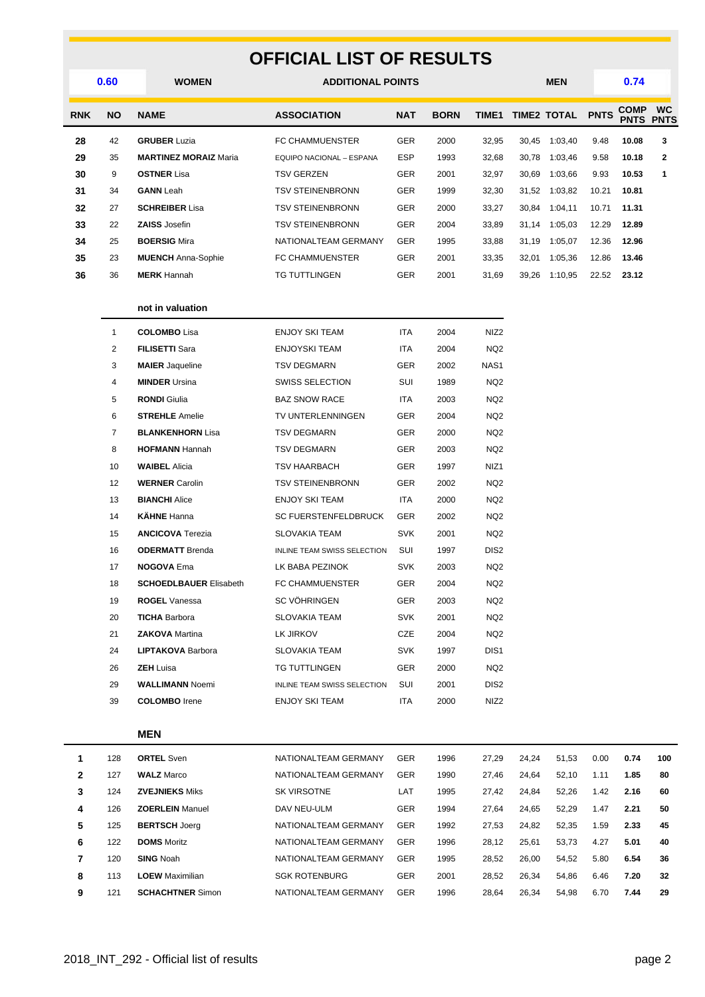## **OFFICIAL LIST OF RESULTS**

|            | 0.60      | <b>WOMEN</b>                 | <b>ADDITIONAL POINTS</b> |            |             |              |       | <b>MEN</b>         |             | 0.74                       |                          |  |
|------------|-----------|------------------------------|--------------------------|------------|-------------|--------------|-------|--------------------|-------------|----------------------------|--------------------------|--|
| <b>RNK</b> | <b>NO</b> | <b>NAME</b>                  | <b>ASSOCIATION</b>       | <b>NAT</b> | <b>BORN</b> | <b>TIME1</b> |       | <b>TIME2 TOTAL</b> | <b>PNTS</b> | <b>COMP</b><br><b>PNTS</b> | <b>WC</b><br><b>PNTS</b> |  |
| 28         | 42        | <b>GRUBER Luzia</b>          | <b>FC CHAMMUENSTER</b>   | <b>GER</b> | 2000        | 32,95        | 30,45 | 1:03,40            | 9.48        | 10.08                      | 3                        |  |
| 29         | 35        | <b>MARTINEZ MORAIZ Maria</b> | EQUIPO NACIONAL - ESPANA | <b>ESP</b> | 1993        | 32,68        | 30,78 | 1:03,46            | 9.58        | 10.18                      | $\mathbf{2}$             |  |
| 30         | 9         | <b>OSTNER Lisa</b>           | TSV GERZEN               | <b>GER</b> | 2001        | 32,97        | 30,69 | 1:03,66            | 9.93        | 10.53                      | 1                        |  |
| 31         | 34        | <b>GANN</b> Leah             | TSV STEINENBRONN         | <b>GER</b> | 1999        | 32,30        | 31,52 | 1:03,82            | 10.21       | 10.81                      |                          |  |
| 32         | 27        | <b>SCHREIBER Lisa</b>        | TSV STEINENBRONN         | <b>GER</b> | 2000        | 33,27        | 30.84 | 1:04,11            | 10.71       | 11.31                      |                          |  |
| 33         | 22        | <b>ZAISS</b> Josefin         | TSV STEINENBRONN         | <b>GER</b> | 2004        | 33,89        | 31.14 | 1:05,03            | 12.29       | 12.89                      |                          |  |
| 34         | 25        | <b>BOERSIG Mira</b>          | NATIONALTEAM GERMANY     | <b>GER</b> | 1995        | 33,88        | 31.19 | 1:05.07            | 12.36       | 12.96                      |                          |  |
| 35         | 23        | <b>MUENCH</b> Anna-Sophie    | <b>FC CHAMMUENSTER</b>   | <b>GER</b> | 2001        | 33,35        | 32,01 | 1:05,36            | 12.86       | 13.46                      |                          |  |
| 36         | 36        | <b>MERK</b> Hannah           | TG TUTTLINGEN            | <b>GER</b> | 2001        | 31,69        | 39,26 | 1:10,95            | 22.52       | 23.12                      |                          |  |
|            |           |                              |                          |            |             |              |       |                    |             |                            |                          |  |

#### **not in valuation**

| 1              | <b>COLOMBO Lisa</b>           | <b>ENJOY SKI TEAM</b>              | <b>ITA</b> | 2004 | NIZ <sub>2</sub> |
|----------------|-------------------------------|------------------------------------|------------|------|------------------|
| $\overline{2}$ | <b>FILISETTI Sara</b>         | <b>ENJOYSKI TEAM</b>               | <b>ITA</b> | 2004 | NQ <sub>2</sub>  |
| 3              | <b>MAIER</b> Jaqueline        | <b>TSV DEGMARN</b>                 | <b>GER</b> | 2002 | NAS <sub>1</sub> |
| 4              | <b>MINDER Ursina</b>          | <b>SWISS SELECTION</b>             | SUI        | 1989 | NQ <sub>2</sub>  |
| 5              | <b>RONDI</b> Giulia           | <b>BAZ SNOW RACE</b>               | <b>ITA</b> | 2003 | NQ <sub>2</sub>  |
| 6              | <b>STREHLE Amelie</b>         | TV UNTERLENNINGEN                  | <b>GER</b> | 2004 | NQ <sub>2</sub>  |
| 7              | <b>BLANKENHORN Lisa</b>       | <b>TSV DEGMARN</b>                 | <b>GER</b> | 2000 | NQ <sub>2</sub>  |
| 8              | <b>HOFMANN Hannah</b>         | <b>TSV DEGMARN</b>                 | <b>GER</b> | 2003 | NQ <sub>2</sub>  |
| 10             | <b>WAIBEL Alicia</b>          | <b>TSV HAARBACH</b>                | <b>GER</b> | 1997 | NIZ <sub>1</sub> |
| 12             | <b>WERNER Carolin</b>         | <b>TSV STEINENBRONN</b>            | <b>GER</b> | 2002 | NQ <sub>2</sub>  |
| 13             | <b>BIANCHI</b> Alice          | <b>ENJOY SKI TEAM</b>              | <b>ITA</b> | 2000 | NQ <sub>2</sub>  |
| 14             | <b>KÄHNE</b> Hanna            | <b>SC FUERSTENFELDBRUCK</b>        | <b>GER</b> | 2002 | NQ <sub>2</sub>  |
| 15             | <b>ANCICOVA Terezia</b>       | <b>SLOVAKIA TEAM</b>               | <b>SVK</b> | 2001 | NQ <sub>2</sub>  |
| 16             | <b>ODERMATT</b> Brenda        | <b>INLINE TEAM SWISS SELECTION</b> | SUI        | 1997 | DIS <sub>2</sub> |
| 17             | <b>NOGOVA Ema</b>             | LK BABA PEZINOK                    | <b>SVK</b> | 2003 | NQ <sub>2</sub>  |
| 18             | <b>SCHOEDLBAUER Elisabeth</b> | <b>FC CHAMMUENSTER</b>             | <b>GER</b> | 2004 | NQ <sub>2</sub>  |
| 19             | <b>ROGEL Vanessa</b>          | <b>SC VÖHRINGEN</b>                | <b>GER</b> | 2003 | NQ <sub>2</sub>  |
| 20             | <b>TICHA Barbora</b>          | <b>SLOVAKIA TEAM</b>               | <b>SVK</b> | 2001 | NQ <sub>2</sub>  |
| 21             | <b>ZAKOVA Martina</b>         | LK JIRKOV                          | <b>CZE</b> | 2004 | NQ <sub>2</sub>  |
| 24             | <b>LIPTAKOVA Barbora</b>      | <b>SLOVAKIA TEAM</b>               | <b>SVK</b> | 1997 | DIS <sub>1</sub> |
| 26             | <b>ZEH Luisa</b>              | <b>TG TUTTLINGEN</b>               | <b>GER</b> | 2000 | NQ <sub>2</sub>  |
| 29             | <b>WALLIMANN Noemi</b>        | <b>INLINE TEAM SWISS SELECTION</b> | SUI        | 2001 | DIS <sub>2</sub> |
| 39             | <b>COLOMBO</b> Irene          | <b>ENJOY SKI TEAM</b>              | <b>ITA</b> | 2000 | NIZ <sub>2</sub> |

#### **MEN**

| 1            | 128 | <b>ORTEL Sven</b>       | NATIONALTEAM GERMANY | <b>GER</b> | 1996 | 27.29 | 24.24 | 51.53 | 0.00 | 0.74 | 100 |
|--------------|-----|-------------------------|----------------------|------------|------|-------|-------|-------|------|------|-----|
| $\mathbf{2}$ | 127 | <b>WALZ</b> Marco       | NATIONALTEAM GERMANY | <b>GER</b> | 1990 | 27.46 | 24.64 | 52,10 | 1.11 | 1.85 | 80  |
| 3            | 124 | <b>ZVEJNIEKS Miks</b>   | <b>SK VIRSOTNE</b>   | LAT        | 1995 | 27.42 | 24.84 | 52.26 | 1.42 | 2.16 | 60  |
| 4            | 126 | <b>ZOERLEIN Manuel</b>  | DAV NEU-ULM          | <b>GER</b> | 1994 | 27.64 | 24.65 | 52.29 | 1.47 | 2.21 | 50  |
| 5            | 125 | <b>BERTSCH Joerg</b>    | NATIONALTEAM GERMANY | <b>GER</b> | 1992 | 27.53 | 24.82 | 52.35 | 1.59 | 2.33 | 45  |
| 6            | 122 | <b>DOMS</b> Moritz      | NATIONALTEAM GERMANY | <b>GER</b> | 1996 | 28.12 | 25.61 | 53.73 | 4.27 | 5.01 | 40  |
|              | 120 | <b>SING Noah</b>        | NATIONALTEAM GERMANY | <b>GER</b> | 1995 | 28,52 | 26,00 | 54,52 | 5.80 | 6.54 | 36  |
| 8            | 113 | LOEW Maximilian         | <b>SGK ROTENBURG</b> | <b>GER</b> | 2001 | 28.52 | 26,34 | 54.86 | 6.46 | 7.20 | 32  |
| 9            | 121 | <b>SCHACHTNER Simon</b> | NATIONALTEAM GERMANY | <b>GER</b> | 1996 | 28.64 | 26.34 | 54.98 | 6.70 | 7.44 | 29  |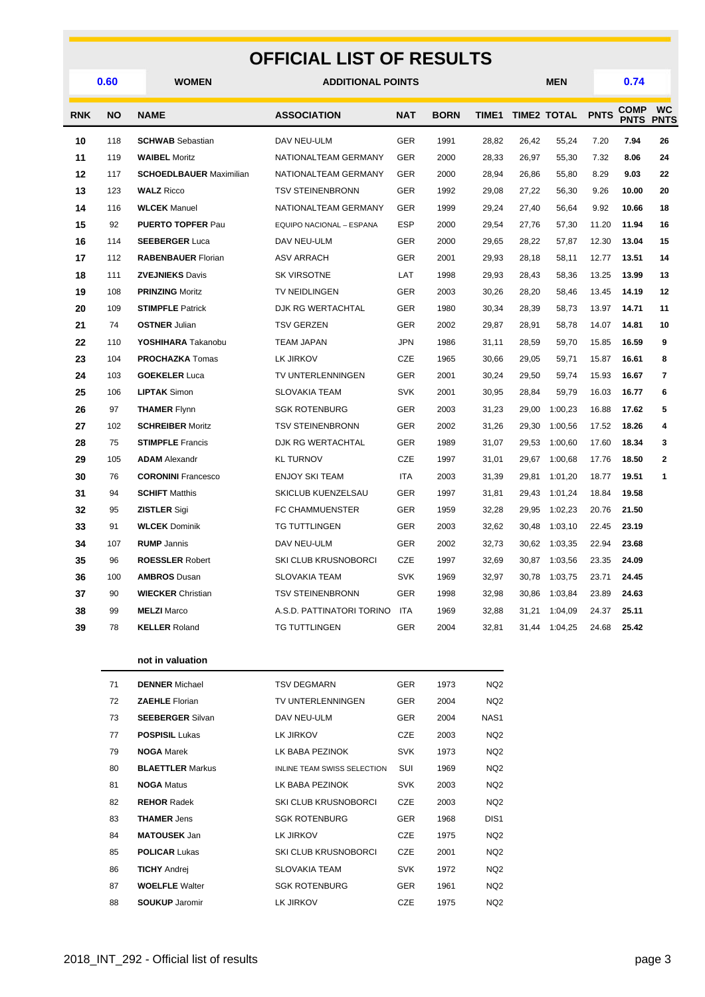#### **OFFICIAL LIST OF RESULTS WOMEN ADDITIONAL POINTS MEN 0.60 0.74 RNK NO NAME ASSOCIATION NAT BORN TIME1 TIME2 TOTAL PNTS COMP COMP**<br>**PNTS WC PNTS** 118 **SCHWAB** Sebastian DAV NEU-ULM GER 1991 28,82 26,42 55,24 7.20 **7.94 26** 119 **WAIBEL** Moritz NATIONALTEAM GERMANY GER 2000 28,33 26,97 55,30 7.32 **8.06 24** 117 **SCHOEDLBAUER** Maximilian NATIONALTEAM GERMANY GER 2000 28,94 26,86 55,80 8.29 **9.03 22** 123 **WALZ** Ricco TSV STEINENBRONN GER 1992 29,08 27,22 56,30 9.26 **10.00 20** 116 **WLCEK** Manuel NATIONALTEAM GERMANY GER 1999 29,24 27,40 56,64 9.92 **10.66 18** 92 **PUERTO TOPFER** Pau EQUIPO NACIONAL – ESPANA ESP 2000 29,54 27,76 57,30 11.20 **11.94 16** 114 **SEEBERGER** Luca DAV NEU-ULM GER 2000 29,65 28,22 57,87 12.30 **13.04 15** 112 **RABENBAUER** Florian ASV ARRACH GER 2001 29,93 28,18 58,11 12.77 **13.51 14** 111 **ZVEJNIEKS** Davis SK VIRSOTNE LAT 1998 29,93 28,43 58,36 13.25 **13.99 13** 108 **PRINZING** Moritz TV NEIDLINGEN GER 2003 30,26 28,20 58,46 13.45 **14.19 12** 109 **STIMPFLE** Patrick DJK RG WERTACHTAL GER 1980 30,34 28,39 58,73 13.97 **14.71 11** 74 **OSTNER** Julian TSV GERZEN GER 2002 29,87 28,91 58,78 14.07 **14.81 10** 110 **YOSHIHARA** Takanobu TEAM JAPAN JPN 1986 31,11 28,59 59,70 15.85 **16.59 9** 104 **PROCHAZKA** Tomas LK JIRKOV CZE 1965 30,66 29,05 59,71 15.87 **16.61 8** 103 **GOEKELER** Luca TV UNTERLENNINGEN GER 2001 30,24 29,50 59,74 15.93 **16.67 7** 106 **LIPTAK** Simon SLOVAKIA TEAM SVK 2001 30,95 28,84 59,79 16.03 **16.77 6** 97 **THAMER** Flynn SGK ROTENBURG GER 2003 31,23 29,00 1:00,23 16.88 **17.62 5** 102 **SCHREIBER** Moritz TSV STEINENBRONN GER 2002 31,26 29,30 1:00,56 17.52 **18.26 4**

| 28 | 75  | <b>STIMPFLE Francis</b>   | DJK RG WERTACHTAL           | <b>GER</b> | 1989 | 31,07 | 29,53 | 1:00,60 | 17.60 | 18.34 |   |
|----|-----|---------------------------|-----------------------------|------------|------|-------|-------|---------|-------|-------|---|
| 29 | 105 | <b>ADAM</b> Alexandr      | <b>KL TURNOV</b>            | <b>CZE</b> | 1997 | 31,01 | 29,67 | 1:00,68 | 17.76 | 18.50 | 2 |
| 30 | 76  | <b>CORONINI</b> Francesco | <b>ENJOY SKI TEAM</b>       | <b>ITA</b> | 2003 | 31,39 | 29,81 | 1:01,20 | 18.77 | 19.51 | 1 |
| 31 | 94  | <b>SCHIFT Matthis</b>     | SKICLUB KUENZELSAU          | <b>GER</b> | 1997 | 31,81 | 29.43 | 1:01.24 | 18.84 | 19.58 |   |
| 32 | 95  | <b>ZISTLER Sigi</b>       | <b>FC CHAMMUENSTER</b>      | <b>GER</b> | 1959 | 32,28 | 29,95 | 1:02,23 | 20.76 | 21.50 |   |
| 33 | 91  | <b>WLCEK Dominik</b>      | TG TUTTLINGEN               | <b>GER</b> | 2003 | 32,62 | 30.48 | 1:03,10 | 22.45 | 23.19 |   |
| 34 | 107 | <b>RUMP</b> Jannis        | DAV NEU-ULM                 | <b>GER</b> | 2002 | 32,73 | 30.62 | 1:03,35 | 22.94 | 23.68 |   |
| 35 | 96  | <b>ROESSLER Robert</b>    | <b>SKI CLUB KRUSNOBORCI</b> | <b>CZE</b> | 1997 | 32,69 | 30,87 | 1:03,56 | 23.35 | 24.09 |   |
| 36 | 100 | <b>AMBROS Dusan</b>       | <b>SLOVAKIA TEAM</b>        | <b>SVK</b> | 1969 | 32,97 | 30.78 | 1:03,75 | 23.71 | 24.45 |   |
| 37 | 90  | <b>WIECKER Christian</b>  | TSV STEINENBRONN            | <b>GER</b> | 1998 | 32,98 | 30.86 | 1:03,84 | 23.89 | 24.63 |   |
| 38 | 99  | <b>MELZI</b> Marco        | A.S.D. PATTINATORI TORINO   | <b>ITA</b> | 1969 | 32,88 | 31,21 | 1:04,09 | 24.37 | 25.11 |   |
| 39 | 78  | <b>KELLER Roland</b>      | <b>TG TUTTLINGEN</b>        | <b>GER</b> | 2004 | 32,81 | 31.44 | 1:04.25 | 24.68 | 25.42 |   |
|    |     |                           |                             |            |      |       |       |         |       |       |   |

|  | not in valuation |
|--|------------------|
|  |                  |

| 71 | <b>DENNER</b> Michael   | <b>TSV DEGMARN</b>                 | <b>GER</b> | 1973 | NQ <sub>2</sub>  |
|----|-------------------------|------------------------------------|------------|------|------------------|
| 72 | <b>ZAEHLE Florian</b>   | TV UNTERLENNINGEN                  | <b>GER</b> | 2004 | NQ <sub>2</sub>  |
| 73 | <b>SEEBERGER Silvan</b> | DAV NEU-ULM                        | <b>GER</b> | 2004 | NAS <sub>1</sub> |
| 77 | <b>POSPISIL Lukas</b>   | LK JIRKOV                          | <b>CZE</b> | 2003 | NQ <sub>2</sub>  |
| 79 | <b>NOGA Marek</b>       | LK BABA PEZINOK                    | <b>SVK</b> | 1973 | NQ <sub>2</sub>  |
| 80 | <b>BLAETTLER Markus</b> | <b>INLINE TEAM SWISS SELECTION</b> | SUI        | 1969 | NQ <sub>2</sub>  |
| 81 | <b>NOGA Matus</b>       | LK BABA PEZINOK                    | <b>SVK</b> | 2003 | NQ <sub>2</sub>  |
| 82 | <b>REHOR Radek</b>      | <b>SKI CLUB KRUSNOBORCI</b>        | <b>CZE</b> | 2003 | NQ <sub>2</sub>  |
| 83 | <b>THAMER Jens</b>      | <b>SGK ROTENBURG</b>               | <b>GER</b> | 1968 | DIS <sub>1</sub> |
| 84 | <b>MATOUSEK</b> Jan     | LK JIRKOV                          | CZE        | 1975 | NQ <sub>2</sub>  |
| 85 | <b>POLICAR Lukas</b>    | <b>SKI CLUB KRUSNOBORCI</b>        | CZE        | 2001 | NQ <sub>2</sub>  |
| 86 | <b>TICHY Andrei</b>     | <b>SLOVAKIA TEAM</b>               | <b>SVK</b> | 1972 | NQ <sub>2</sub>  |
| 87 | <b>WOELFLE Walter</b>   | <b>SGK ROTENBURG</b>               | <b>GER</b> | 1961 | NQ <sub>2</sub>  |
| 88 | <b>SOUKUP</b> Jaromir   | LK JIRKOV                          | <b>CZE</b> | 1975 | NQ <sub>2</sub>  |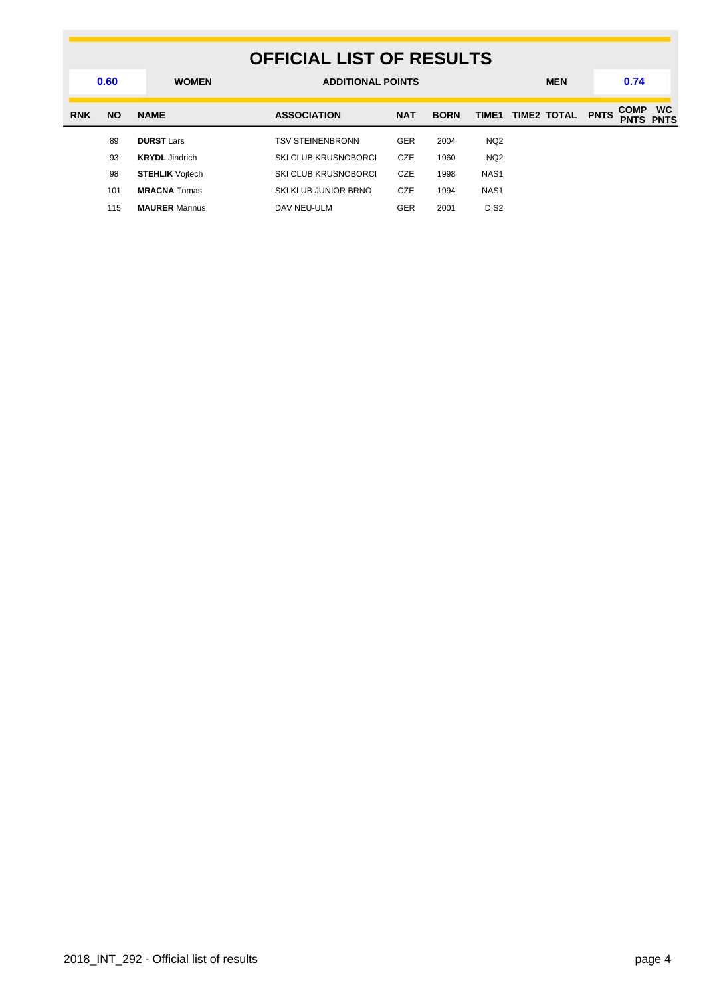|            | <b>OFFICIAL LIST OF RESULTS</b> |                        |                             |            |             |                  |             |                            |                          |  |  |  |
|------------|---------------------------------|------------------------|-----------------------------|------------|-------------|------------------|-------------|----------------------------|--------------------------|--|--|--|
|            | 0.60                            | <b>WOMEN</b>           | <b>ADDITIONAL POINTS</b>    |            |             |                  | <b>MEN</b>  | 0.74                       |                          |  |  |  |
| <b>RNK</b> | <b>NO</b>                       | <b>NAME</b>            | <b>ASSOCIATION</b>          | <b>NAT</b> | <b>BORN</b> | TIME1            | TIME2 TOTAL | <b>COMP</b><br><b>PNTS</b> | <b>WC</b><br><b>PNTS</b> |  |  |  |
|            | 89                              | <b>DURST Lars</b>      | <b>TSV STEINENBRONN</b>     | <b>GER</b> | 2004        | NQ <sub>2</sub>  |             |                            |                          |  |  |  |
|            | 93                              | <b>KRYDL</b> Jindrich  | SKI CLUB KRUSNOBORCI        | <b>CZE</b> | 1960        | NQ <sub>2</sub>  |             |                            |                          |  |  |  |
|            | 98                              | <b>STEHLIK</b> Voitech | <b>SKI CLUB KRUSNOBORCI</b> | <b>CZE</b> | 1998        | NAS <sub>1</sub> |             |                            |                          |  |  |  |
|            | 101                             | <b>MRACNA</b> Tomas    | SKI KLUB JUNIOR BRNO        | <b>CZE</b> | 1994        | NAS <sub>1</sub> |             |                            |                          |  |  |  |
|            | 115                             | <b>MAURER Marinus</b>  | DAV NEU-ULM                 | <b>GER</b> | 2001        | DIS <sub>2</sub> |             |                            |                          |  |  |  |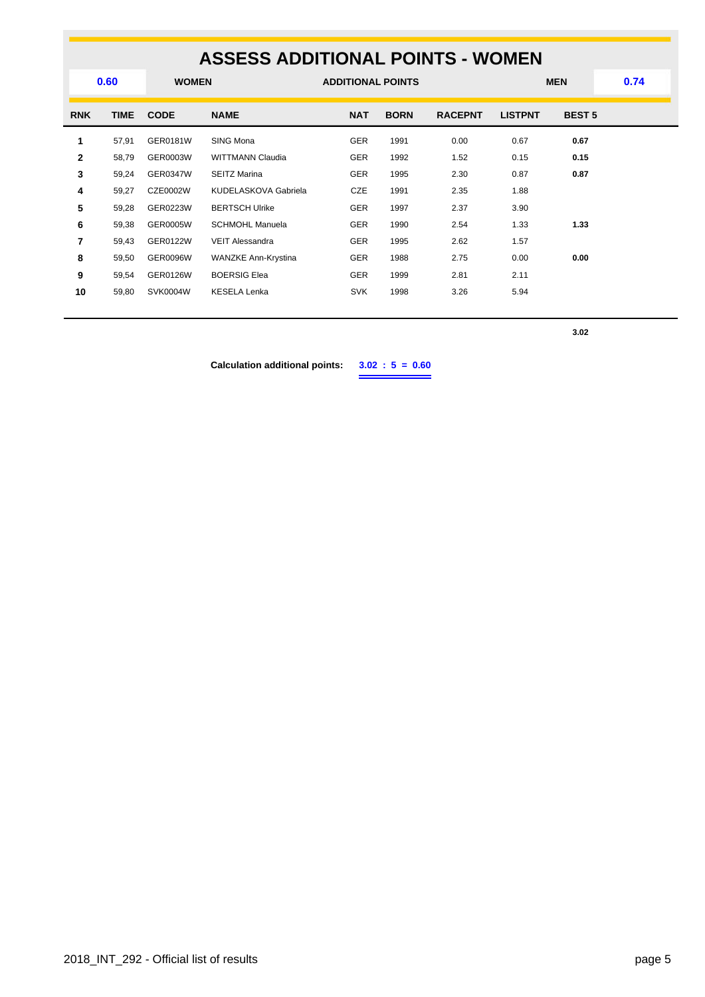### **ASSESS ADDITIONAL POINTS - WOMEN WOMEN ADDITIONAL POINTS MEN 0.60 0.74 RNK TIME CODE NAME NAT BORN RACEPNT LISTPNT BEST 5** 57,91 GER0181W SING Mona GER 1991 0.00 0.67 **0.67** 58,79 GER0003W WITTMANN Claudia GER 1992 1.52 0.15 **0.15** 59,24 GER0347W SEITZ Marina GER 1995 2.30 0.87 **0.87** 59,27 CZE0002W KUDELASKOVA Gabriela CZE 1991 2.35 1.88 59,28 GER0223W BERTSCH Ulrike GER 1997 2.37 3.90 59,38 GER0005W SCHMOHL Manuela GER 1990 2.54 1.33 **1.33** 59,43 GER0122W VEIT Alessandra **GER** 1995 2.62 1.57 59,50 GER0096W WANZKE Ann-Krystina GER 1988 2.75 0.00 **0.00** 59,54 GER0126W BOERSIG Elea GER 1999 2.81 2.11 59,80 SVK0004W KESELA Lenka **SVK** 1998 3.26 5.94

**3.02**

**Calculation additional points: 3.02 : 5 = 0.60**